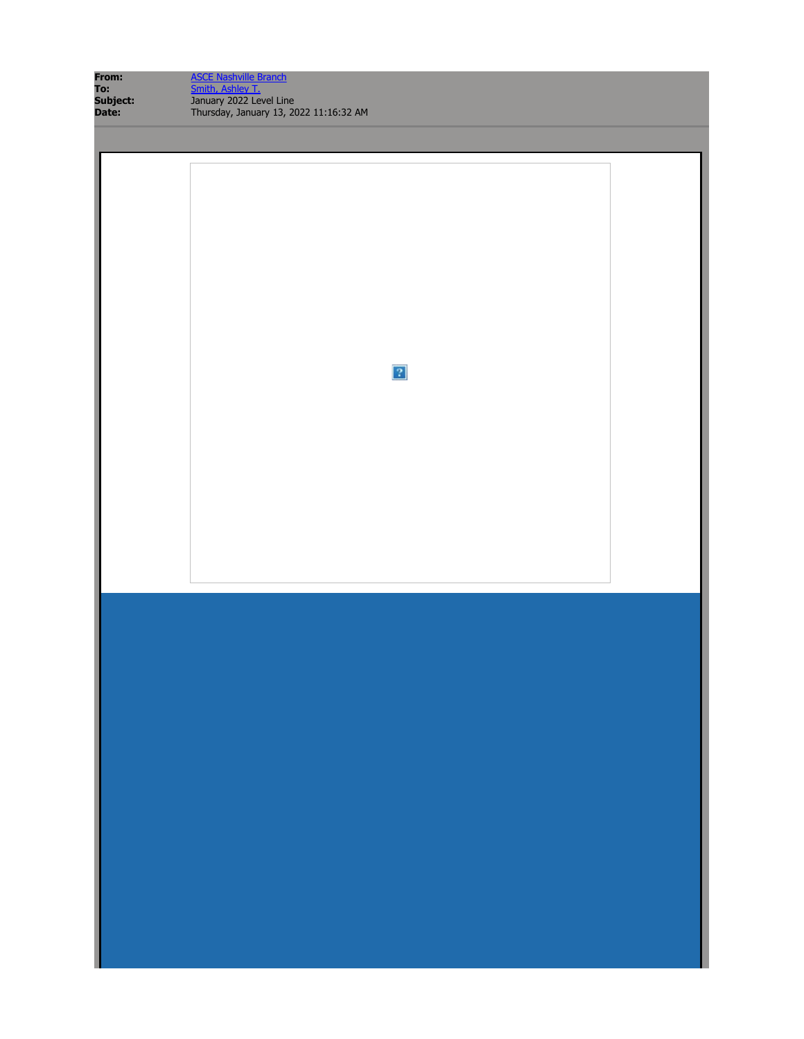| From:<br>To:<br>Subject:<br>Date: | ASCE Nashville Branch<br>Smith, Ashley T.<br>January 2022 Level Line<br>Thursday, January 13, 2022 11:16:32 AM |  |
|-----------------------------------|----------------------------------------------------------------------------------------------------------------|--|
|                                   |                                                                                                                |  |
|                                   | $\boxed{?}$                                                                                                    |  |
|                                   |                                                                                                                |  |
|                                   |                                                                                                                |  |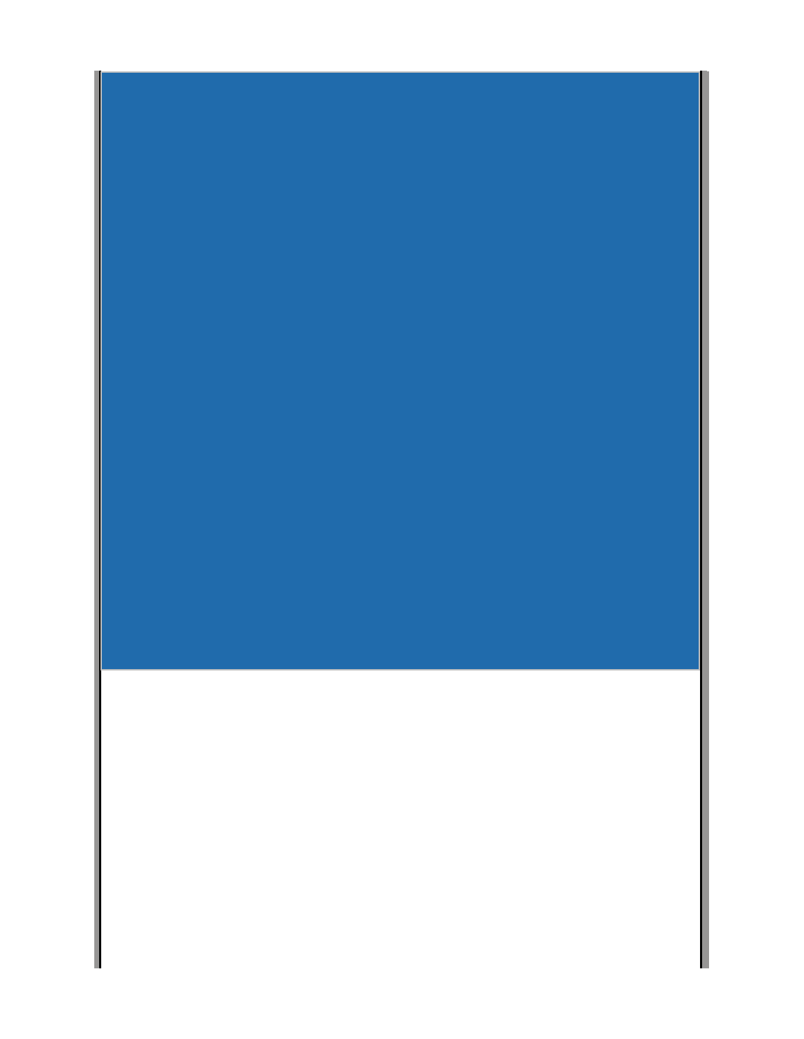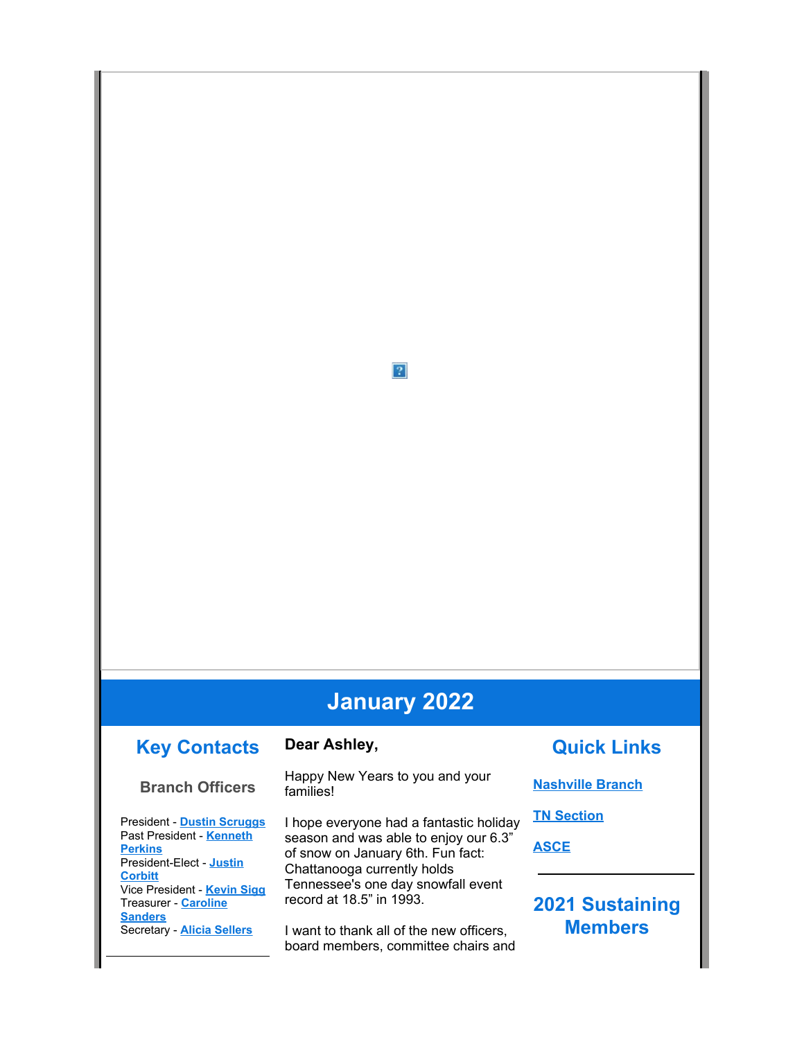### **January 2022**

 $\overline{3}$ 

### **Key Contacts**

### **Branch Officers**

President - **[Dustin Scruggs](mailto:dscruggs@nashvilleasce.org)** Past President - **[Kenneth](mailto:kperkins@nashvilleasce.org) [Perkins](mailto:kperkins@nashvilleasce.org)** President-Elect - **[Justin](mailto:jcorbitt@nashvilleasce.org) [Corbitt](mailto:jcorbitt@nashvilleasce.org)** Vice President - **[Kevin Sigg](mailto:ksigg@nashvilleasce.org)** Treasurer - **[Caroline](mailto:csanders@nashvilleasce.org) [Sanders](mailto:csanders@nashvilleasce.org)** Secretary - **[Alicia Sellers](mailto:asellers@nashvilleasce.org)**

### **Dear Ashley,**

Happy New Years to you and your families!

I hope everyone had a fantastic holiday season and was able to enjoy our 6.3" of snow on January 6th. Fun fact: Chattanooga currently holds Tennessee's one day snowfall event record at 18.5" in 1993.

I want to thank all of the new officers, board members, committee chairs and

### **Quick Links**

**[Nashville Branch](https://urldefense.com/v3/__https://r20.rs6.net/tn.jsp?f=0010xkUrenoGelQsYBce--BOdWiRTVWixrub92kp_74b-7Qb-qPb4z5ERRL-A48bJ5ghhOBG7J8FErgGzdMZBJf7zKEinLtNlkOERgmmJyxeP78qGN5numP9uIWlJ7Ix1tcenxgjq_dir6OYoZAZNh7Lw==&c=q2W5iv2STmJCT9uNUuREkOiod56YO9frC_MiSwxnJwFzR9j3ia8Gbg==&ch=-BxWCp3NxR-rt_PVXzwuzAktlbNHam6b6m_43R83FX7U8Jgh0W6OEA==__;!!OZ2Q16syoZo!sIqeW6Bqx16AYWZU7eNbwfc44wFadhaROKSSLXFC7WHTAaYzK1kM2YIP7Egv8K4$)**

**[TN Section](https://urldefense.com/v3/__https://r20.rs6.net/tn.jsp?f=0010xkUrenoGelQsYBce--BOdWiRTVWixrub92kp_74b-7Qb-qPb4z5EYME9mO-kJ1MzNwDhg9vt7qQOy57PXQCmhB6mI1b00LXNapxidizARjmmc7MT06Z6nvWs8Qsq6ypA4qEaHRk0Lk=&c=q2W5iv2STmJCT9uNUuREkOiod56YO9frC_MiSwxnJwFzR9j3ia8Gbg==&ch=-BxWCp3NxR-rt_PVXzwuzAktlbNHam6b6m_43R83FX7U8Jgh0W6OEA==__;!!OZ2Q16syoZo!sIqeW6Bqx16AYWZU7eNbwfc44wFadhaROKSSLXFC7WHTAaYzK1kM2YIPU3ETF4M$)**

**[ASCE](https://urldefense.com/v3/__https://r20.rs6.net/tn.jsp?f=0010xkUrenoGelQsYBce--BOdWiRTVWixrub92kp_74b-7Qb-qPb4z5ETsJrvusMBarNjJnJSUCLaxscZIbTwvkrquYALdZHxrP8h-iJFQPuP2s9zIcuq818QEwBWmD2uvttuR81VCU-7U=&c=q2W5iv2STmJCT9uNUuREkOiod56YO9frC_MiSwxnJwFzR9j3ia8Gbg==&ch=-BxWCp3NxR-rt_PVXzwuzAktlbNHam6b6m_43R83FX7U8Jgh0W6OEA==__;!!OZ2Q16syoZo!sIqeW6Bqx16AYWZU7eNbwfc44wFadhaROKSSLXFC7WHTAaYzK1kM2YIPDlsz7dM$)**

### **2021 Sustaining Members**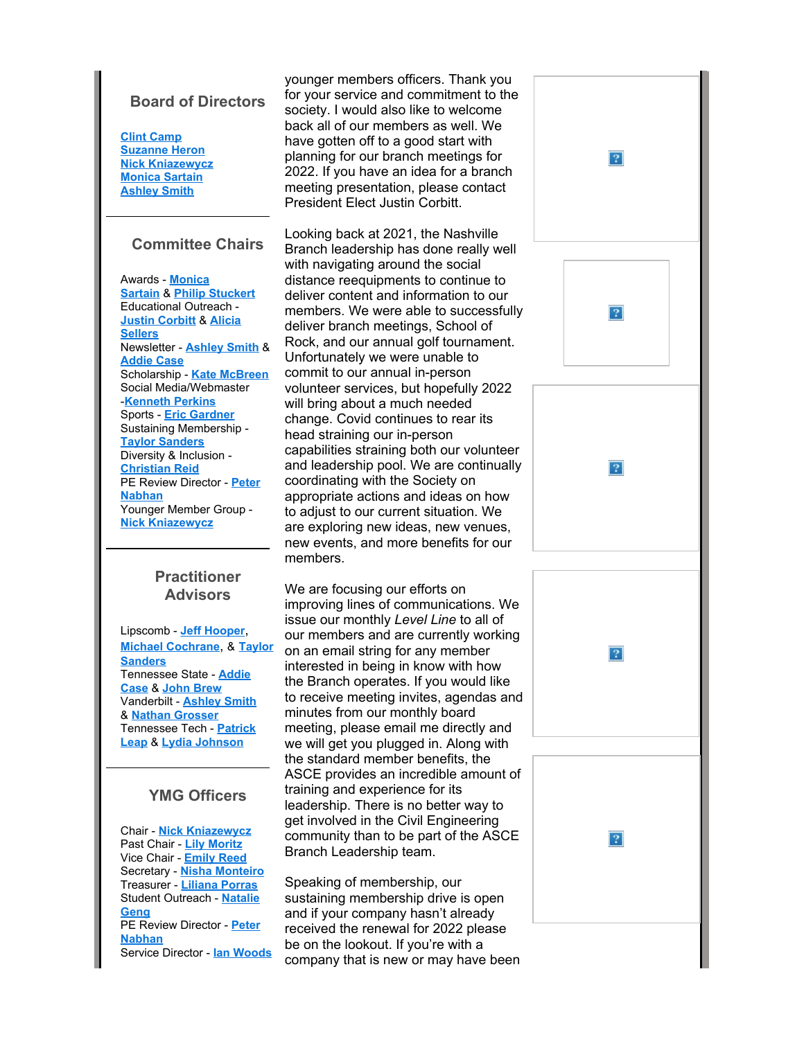#### **Board of Directors**

**[Clint Camp](mailto:ccamp@nashvilleasce.org) [Suzanne Heron](mailto:sheron@nashvilleasce.org) [Nick Kniazewycz](mailto:NKniazewycz@nashvilleasce.org) [Monica Sartain](mailto:msartain@nashvilleasce.org) [Ashley Smith](mailto:asmith@nashvilleasce.org)**

#### **Committee Chairs**

Awards - **[Monica](mailto:msartain@nashvilleasce.org) [Sartain](mailto:msartain@nashvilleasce.org)** & **[Philip Stuckert](mailto:pstuckert@nashvilleasce.org)** Educational Outreach - **[Justin Corbitt](mailto:jcorbitt@nashvilleasce.org)** & **[Alicia](mailto:asellers@nashvilleasce.org) [Sellers](mailto:asellers@nashvilleasce.org)** Newsletter - **[Ashley Smith](mailto:asmith@nashvilleasce.org)** & **[Addie Case](mailto:acase@nashvilleasce.org)** Scholarship - **[Kate McBreen](mailto:kmcbreen@nashvilleasce.org)** Social Media/Webmaster -**[Kenneth Perkins](mailto:kperkins@nashvilleasce.org)** Sports - **[Eric Gardner](mailto:egardner@nashvilleasce.org)** Sustaining Membership - **[Taylor Sanders](mailto:tsanders@nashvilleasce.org)** Diversity & Inclusion - **[Christian Reid](mailto:creid@nashvilleasce.org)** PE Review Director - **[Peter](mailto:pnabhan@nashvilleasce.org) [Nabhan](mailto:pnabhan@nashvilleasce.org)** Younger Member Group - **[Nick Kniazewycz](mailto:NKniazewycz@nashvilleasce.org)**

#### **Practitioner Advisors**

Lipscomb - **[Jeff Hooper](mailto:jhooper@nashvilleasce.org)**, **[Michael Cochrane](mailto:mcochrane@nashvilleasce.org)**, & **[Taylor](mailto:tsanders@nashvilleasce.org) [Sanders](mailto:tsanders@nashvilleasce.org)** Tennessee State - **[Addie](mailto:acase@nashvilleasce.org) [Case](mailto:acase@nashvilleasce.org)** & **[John Brew](mailto:jbrew@nashvilleasce.org)** Vanderbilt - **[Ashley Smith](mailto:asmith@nashvilleasce.org)** & **[Nathan Grosser](mailto:ngrosser@nashvilleasce.org)** Tennessee Tech - **[Patrick](mailto:pleap@nashvilleasce.org) [Leap](mailto:pleap@nashvilleasce.org)** & **[Lydia Johnson](mailto:ljohnson@nashvilleasce.org)**

#### **YMG Officers**

Chair - **[Nick Kniazewycz](mailto:nkniazewycz@nashvilleasce.org)** Past Chair - **[Lily Moritz](mailto:lmoritz@nashvilleasce.org)** Vice Chair - **[Emily Reed](mailto:ereed@cecinc.com)** Secretary - **[Nisha Monteiro](mailto:Nisha.Monteiro@wsp.com)** Treasurer - **[Liliana Porras](mailto:Liliana.Porras@bargedesign.com)** Student Outreach - **[Natalie](mailto:ngeng@nashvilleasce.org) [Geng](mailto:ngeng@nashvilleasce.org)** PE Review Director - **[Peter](mailto:pnabhan@nashvilleasce.org) [Nabhan](mailto:pnabhan@nashvilleasce.org)** Service Director - **[Ian Woods](mailto:iwoods@nashvilleasce.org)** younger members officers. Thank you for your service and commitment to the society. I would also like to welcome back all of our members as well. We have gotten off to a good start with planning for our branch meetings for 2022. If you have an idea for a branch meeting presentation, please contact President Elect Justin Corbitt.

Looking back at 2021, the Nashville Branch leadership has done really well with navigating around the social distance reequipments to continue to deliver content and information to our members. We were able to successfully deliver branch meetings, School of Rock, and our annual golf tournament. Unfortunately we were unable to commit to our annual in-person volunteer services, but hopefully 2022 will bring about a much needed change. Covid continues to rear its head straining our in-person capabilities straining both our volunteer and leadership pool. We are continually coordinating with the Society on appropriate actions and ideas on how to adjust to our current situation. We are exploring new ideas, new venues, new events, and more benefits for our members.

We are focusing our efforts on improving lines of communications. We issue our monthly *Level Line* to all of our members and are currently working on an email string for any member interested in being in know with how the Branch operates. If you would like to receive meeting invites, agendas and minutes from our monthly board meeting, please email me directly and we will get you plugged in. Along with the standard member benefits, the ASCE provides an incredible amount of training and experience for its leadership. There is no better way to get involved in the Civil Engineering community than to be part of the ASCE Branch Leadership team.

Speaking of membership, our sustaining membership drive is open and if your company hasn't already received the renewal for 2022 please be on the lookout. If you're with a company that is new or may have been

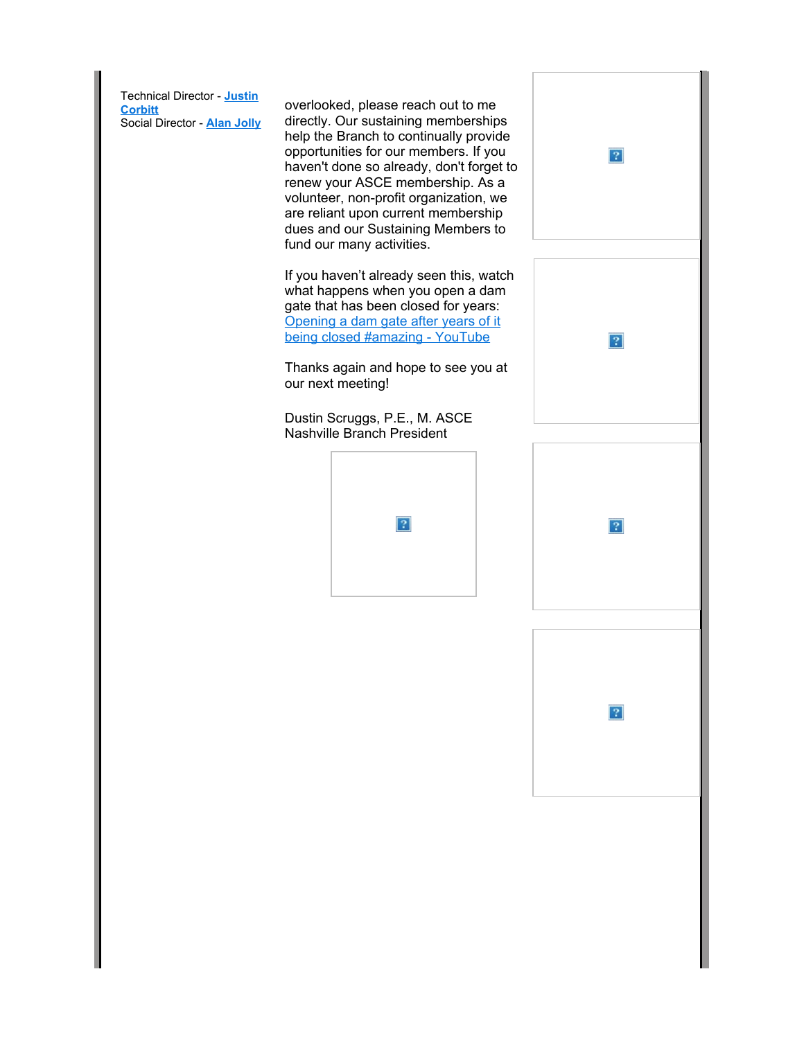Technical Director - **[Justin](mailto:jcorbitt@nashvilleasce.org) [Corbitt](mailto:jcorbitt@nashvilleasce.org)** Social Director - **[Alan Jolly](mailto:Alan.Jolly@bargedesign.com)**

overlooked, please reach out to me directly. Our sustaining memberships help the Branch to continually provide opportunities for our members. If you haven't done so already, don't forget to renew your ASCE membership. As a volunteer, non-profit organization, we are reliant upon current membership dues and our Sustaining Members to fund our many activities.

If you haven't already seen this, watch what happens when you open a dam gate that has been closed for years: [Opening a dam gate after years of it](https://urldefense.com/v3/__https://r20.rs6.net/tn.jsp?f=0010xkUrenoGelQsYBce--BOdWiRTVWixrub92kp_74b-7Qb-qPb4z5ES2keGpEvgHfFOv7gKgE-wAebvL8gidB7XupsW6Pbk9tTomFz2p7LV-6sm_3x-m0B0h84B8ekxhQvYAKouaNFh4OUxW8rKuef30OSoy2GrbrXYgxjohIm-uSfxDmGXyuRQ==&c=q2W5iv2STmJCT9uNUuREkOiod56YO9frC_MiSwxnJwFzR9j3ia8Gbg==&ch=-BxWCp3NxR-rt_PVXzwuzAktlbNHam6b6m_43R83FX7U8Jgh0W6OEA==__;!!OZ2Q16syoZo!sIqeW6Bqx16AYWZU7eNbwfc44wFadhaROKSSLXFC7WHTAaYzK1kM2YIPnNgAJgg$) [being closed #amazing - YouTube](https://urldefense.com/v3/__https://r20.rs6.net/tn.jsp?f=0010xkUrenoGelQsYBce--BOdWiRTVWixrub92kp_74b-7Qb-qPb4z5ES2keGpEvgHfFOv7gKgE-wAebvL8gidB7XupsW6Pbk9tTomFz2p7LV-6sm_3x-m0B0h84B8ekxhQvYAKouaNFh4OUxW8rKuef30OSoy2GrbrXYgxjohIm-uSfxDmGXyuRQ==&c=q2W5iv2STmJCT9uNUuREkOiod56YO9frC_MiSwxnJwFzR9j3ia8Gbg==&ch=-BxWCp3NxR-rt_PVXzwuzAktlbNHam6b6m_43R83FX7U8Jgh0W6OEA==__;!!OZ2Q16syoZo!sIqeW6Bqx16AYWZU7eNbwfc44wFadhaROKSSLXFC7WHTAaYzK1kM2YIPnNgAJgg$)

Thanks again and hope to see you at our next meeting!

Dustin Scruggs, P.E., M. ASCE Nashville Branch President



| $\overline{?}$ |  |
|----------------|--|
| $\overline{?}$ |  |
| $\overline{?}$ |  |
| $\overline{?}$ |  |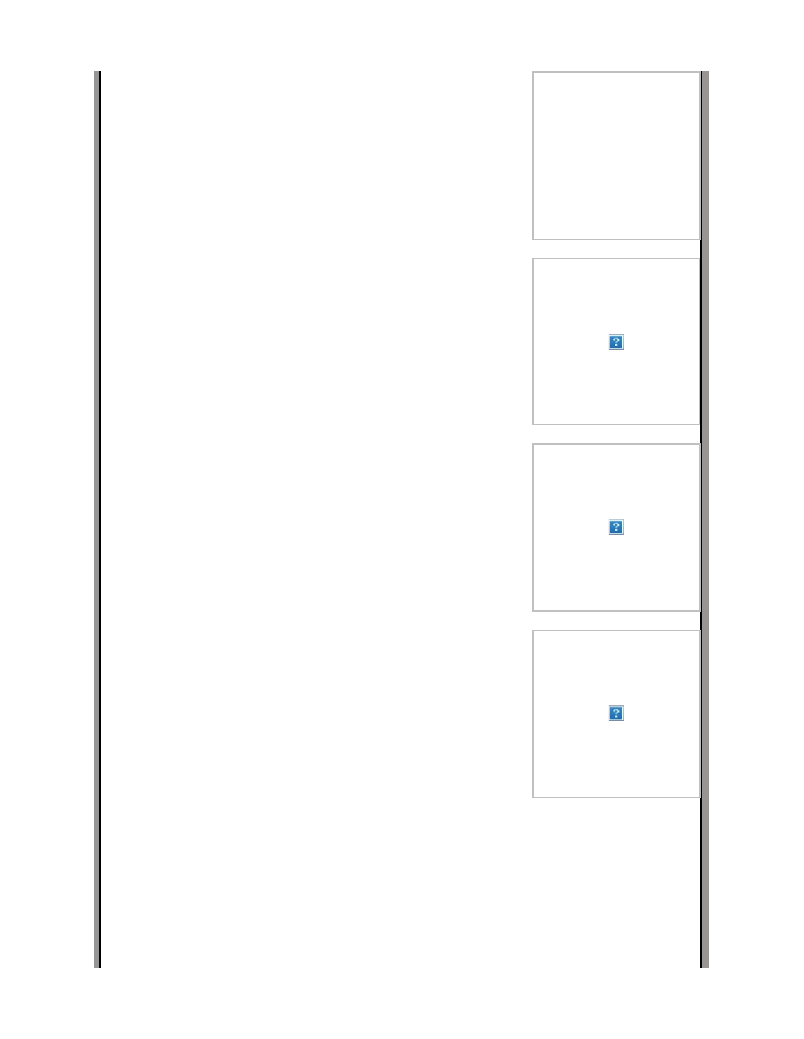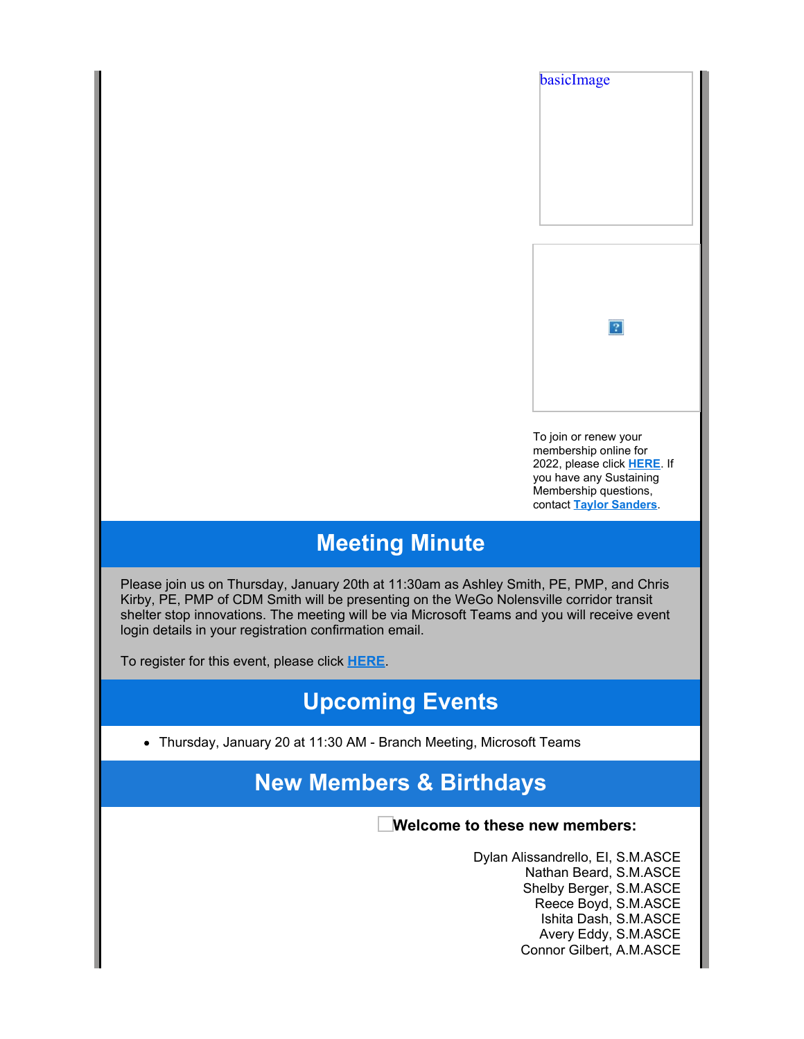

To join or renew your membership online for 2022, please click **[HERE](https://urldefense.com/v3/__https://r20.rs6.net/tn.jsp?f=0010xkUrenoGelQsYBce--BOdWiRTVWixrub92kp_74b-7Qb-qPb4z5EeMdd4tf3KB4Yq81kD7EnEzGpwNlFIy_f0Rxs1Pq-iiIeAnu5rD6ayxAy62TqPeXSoSFdSVsw_ZJvTZ-f9KfWsKXZBR7kHhFMNnflDJgaPCrW8B0b_1jTUxN6BWD9fvrAxLMvNzyhK3MU3qxSXpUz9igRsx2rCGQMdUwsZmsef3W5M84fEcB5tcnjEm6K8pFMA==&c=q2W5iv2STmJCT9uNUuREkOiod56YO9frC_MiSwxnJwFzR9j3ia8Gbg==&ch=-BxWCp3NxR-rt_PVXzwuzAktlbNHam6b6m_43R83FX7U8Jgh0W6OEA==__;!!OZ2Q16syoZo!sIqeW6Bqx16AYWZU7eNbwfc44wFadhaROKSSLXFC7WHTAaYzK1kM2YIP9uLNSsw$)**. If you have any Sustaining Membership questions, contact **[Taylor Sanders](mailto:tsanders@nashvilleasce.org)**.

## **Meeting Minute**

Please join us on Thursday, January 20th at 11:30am as Ashley Smith, PE, PMP, and Chris Kirby, PE, PMP of CDM Smith will be presenting on the WeGo Nolensville corridor transit shelter stop innovations. The meeting will be via Microsoft Teams and you will receive event login details in your registration confirmation email.

To register for this event, please click **[HERE](https://urldefense.com/v3/__https://r20.rs6.net/tn.jsp?f=0010xkUrenoGelQsYBce--BOdWiRTVWixrub92kp_74b-7Qb-qPb4z5ES2keGpEvgHf2YMBHLpdEtBMs5fQOy8NI6b2HZtzqsgOrlgSNRnPzMi1yTol-XCsysoEskfHm5dyU9WToh9B14dBnTejeQmvGP4R0Q_xsraO7BBc16wJKNs9xeuLwBFGtx1CM-aHc2qQlOXjCd9GSy-Mnxjjo0ngJHGMT_hkVMWS-o0F6A0ymhMqe0oJ3-ml57S8uBdusSmZ4ZeQJaU0jsY=&c=q2W5iv2STmJCT9uNUuREkOiod56YO9frC_MiSwxnJwFzR9j3ia8Gbg==&ch=-BxWCp3NxR-rt_PVXzwuzAktlbNHam6b6m_43R83FX7U8Jgh0W6OEA==__;!!OZ2Q16syoZo!sIqeW6Bqx16AYWZU7eNbwfc44wFadhaROKSSLXFC7WHTAaYzK1kM2YIP9qLLeMA$)**.

## **Upcoming Events**

Thursday, January 20 at 11:30 AM - Branch Meeting, Microsoft Teams

# **New Members & Birthdays**

### **Welcome to these new members:**

Dylan Alissandrello, EI, S.M.ASCE Nathan Beard, S.M.ASCE Shelby Berger, S.M.ASCE Reece Boyd, S.M.ASCE Ishita Dash, S.M.ASCE Avery Eddy, S.M.ASCE Connor Gilbert, A.M.ASCE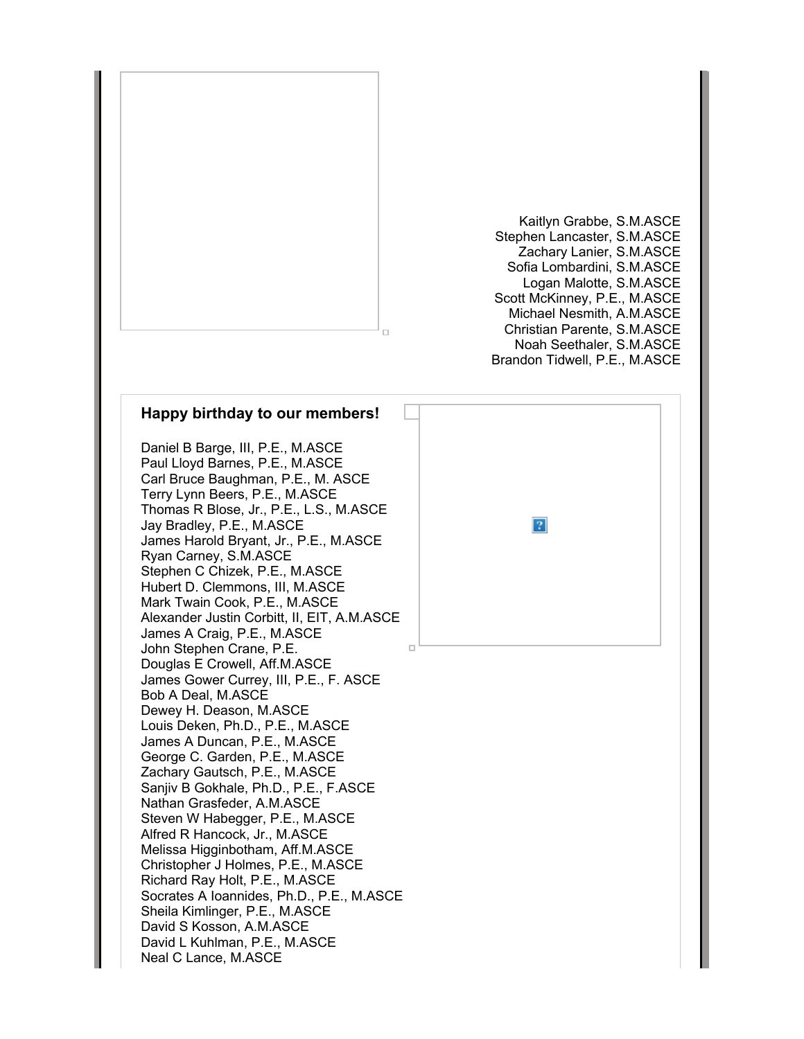

Kaitlyn Grabbe, S.M.ASCE Stephen Lancaster, S.M.ASCE Zachary Lanier, S.M.ASCE Sofia Lombardini, S.M.ASCE Logan Malotte, S.M.ASCE Scott McKinney, P.E., M.ASCE Michael Nesmith, A.M.ASCE Christian Parente, S.M.ASCE Noah Seethaler, S.M.ASCE Brandon Tidwell, P.E., M.ASCE

#### **Happy birthday to our members!**

Daniel B Barge, III, P.E., M.ASCE Paul Lloyd Barnes, P.E., M.ASCE Carl Bruce Baughman, P.E., M. ASCE Terry Lynn Beers, P.E., M.ASCE Thomas R Blose, Jr., P.E., L.S., M.ASCE Jay Bradley, P.E., M.ASCE James Harold Bryant, Jr., P.E., M.ASCE Ryan Carney, S.M.ASCE Stephen C Chizek, P.E., M.ASCE Hubert D. Clemmons, III, M.ASCE Mark Twain Cook, P.E., M.ASCE Alexander Justin Corbitt, II, EIT, A.M.ASCE James A Craig, P.E., M.ASCE John Stephen Crane, P.E. Douglas E Crowell, Aff.M.ASCE James Gower Currey, III, P.E., F. ASCE Bob A Deal, M.ASCE Dewey H. Deason, M.ASCE Louis Deken, Ph.D., P.E., M.ASCE James A Duncan, P.E., M.ASCE George C. Garden, P.E., M.ASCE Zachary Gautsch, P.E., M.ASCE Sanjiv B Gokhale, Ph.D., P.E., F.ASCE Nathan Grasfeder, A.M.ASCE Steven W Habegger, P.E., M.ASCE Alfred R Hancock, Jr., M.ASCE Melissa Higginbotham, Aff.M.ASCE Christopher J Holmes, P.E., M.ASCE Richard Ray Holt, P.E., M.ASCE Socrates A Ioannides, Ph.D., P.E., M.ASCE Sheila Kimlinger, P.E., M.ASCE David S Kosson, A.M.ASCE David L Kuhlman, P.E., M.ASCE Neal C Lance, M.ASCE

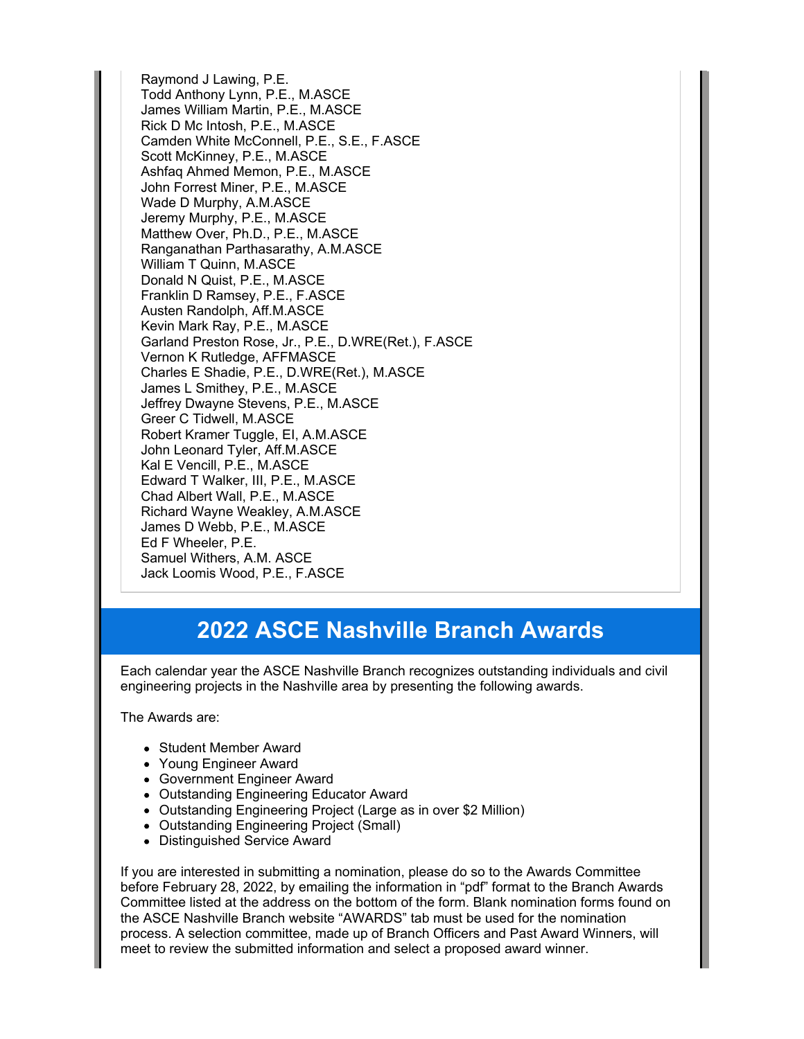Raymond J Lawing, P.E. Todd Anthony Lynn, P.E., M.ASCE James William Martin, P.E., M.ASCE Rick D Mc Intosh, P.E., M.ASCE Camden White McConnell, P.E., S.E., F.ASCE Scott McKinney, P.E., M.ASCE Ashfaq Ahmed Memon, P.E., M.ASCE John Forrest Miner, P.E., M.ASCE Wade D Murphy, A.M.ASCE Jeremy Murphy, P.E., M.ASCE Matthew Over, Ph.D., P.E., M.ASCE Ranganathan Parthasarathy, A.M.ASCE William T Quinn, M.ASCE Donald N Quist, P.E., M.ASCE Franklin D Ramsey, P.E., F.ASCE Austen Randolph, Aff.M.ASCE Kevin Mark Ray, P.E., M.ASCE Garland Preston Rose, Jr., P.E., D.WRE(Ret.), F.ASCE Vernon K Rutledge, AFFMASCE Charles E Shadie, P.E., D.WRE(Ret.), M.ASCE James L Smithey, P.E., M.ASCE Jeffrey Dwayne Stevens, P.E., M.ASCE Greer C Tidwell, M.ASCE Robert Kramer Tuggle, EI, A.M.ASCE John Leonard Tyler, Aff.M.ASCE Kal E Vencill, P.E., M.ASCE Edward T Walker, III, P.E., M.ASCE Chad Albert Wall, P.E., M.ASCE Richard Wayne Weakley, A.M.ASCE James D Webb, P.E., M.ASCE Ed F Wheeler, P.E. Samuel Withers, A.M. ASCE Jack Loomis Wood, P.E., F.ASCE

## **2022 ASCE Nashville Branch Awards**

Each calendar year the ASCE Nashville Branch recognizes outstanding individuals and civil engineering projects in the Nashville area by presenting the following awards.

The Awards are:

- Student Member Award
- Young Engineer Award
- Government Engineer Award
- Outstanding Engineering Educator Award
- Outstanding Engineering Project (Large as in over \$2 Million)
- Outstanding Engineering Project (Small)
- Distinguished Service Award

If you are interested in submitting a nomination, please do so to the Awards Committee before February 28, 2022, by emailing the information in "pdf" format to the Branch Awards Committee listed at the address on the bottom of the form. Blank nomination forms found on the ASCE Nashville Branch website "AWARDS" tab must be used for the nomination process. A selection committee, made up of Branch Officers and Past Award Winners, will meet to review the submitted information and select a proposed award winner.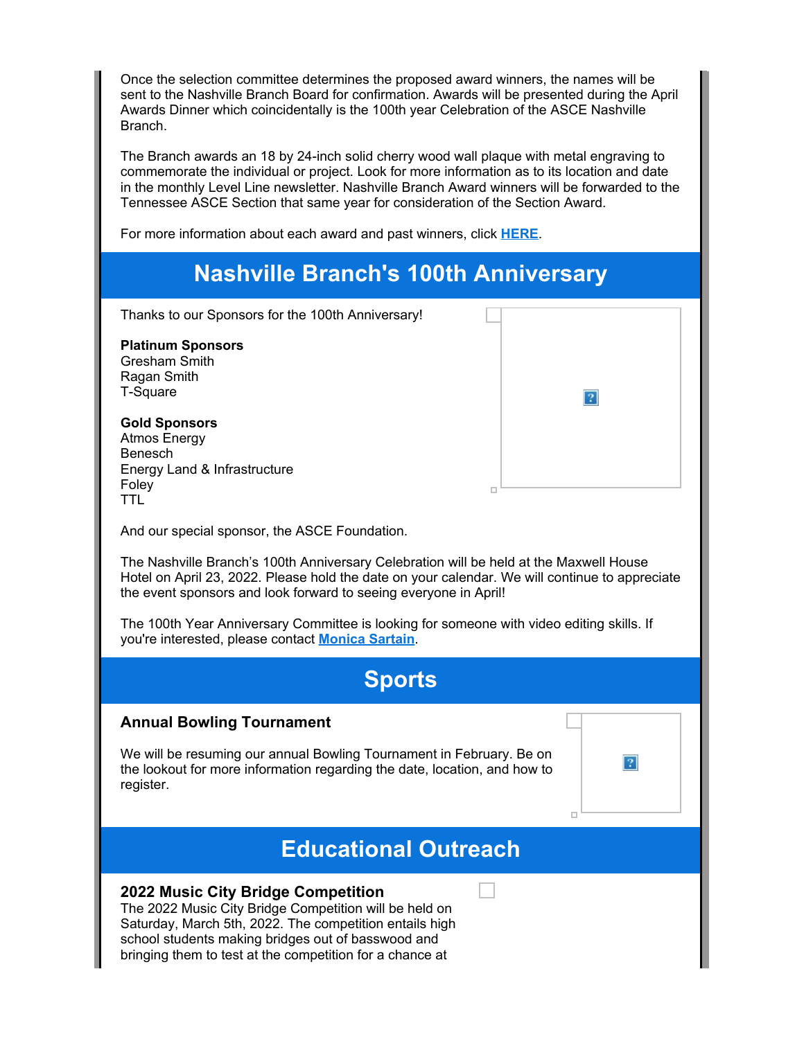Once the selection committee determines the proposed award winners, the names will be sent to the Nashville Branch Board for confirmation. Awards will be presented during the April Awards Dinner which coincidentally is the 100th year Celebration of the ASCE Nashville Branch.

The Branch awards an 18 by 24-inch solid cherry wood wall plaque with metal engraving to commemorate the individual or project. Look for more information as to its location and date in the monthly Level Line newsletter. Nashville Branch Award winners will be forwarded to the Tennessee ASCE Section that same year for consideration of the Section Award.

For more information about each award and past winners, click **[HERE](https://urldefense.com/v3/__https://r20.rs6.net/tn.jsp?f=0010xkUrenoGelQsYBce--BOdWiRTVWixrub92kp_74b-7Qb-qPb4z5ES2keGpEvgHfCoQPJnp0ZNCXeSLrfpE57coit2AJvNubBC0lC7qFgtzwOJv_9V6FdPQhaeWLms4IrNkhTOjP0lt3_Q6mS6hjhEjy7jAttkqNWS8wkgU9mGayBk77EU3bsrNnuW2g-mvSYhJMlPk99Xg4HmFiKIewN94bofuD2sW8GHzxpoldYqY=&c=q2W5iv2STmJCT9uNUuREkOiod56YO9frC_MiSwxnJwFzR9j3ia8Gbg==&ch=-BxWCp3NxR-rt_PVXzwuzAktlbNHam6b6m_43R83FX7U8Jgh0W6OEA==__;!!OZ2Q16syoZo!sIqeW6Bqx16AYWZU7eNbwfc44wFadhaROKSSLXFC7WHTAaYzK1kM2YIPpMSbouI$)**.

# **Nashville Branch's 100th Anniversary**

Thanks to our Sponsors for the 100th Anniversary!

#### **Platinum Sponsors**

Gresham Smith Ragan Smith T-Square

#### **Gold Sponsors**

Atmos Energy Benesch Energy Land & Infrastructure Foley TTL

|  | $\overline{?}$ |  |
|--|----------------|--|
|  |                |  |
|  |                |  |
|  |                |  |

 $|2|$ 

And our special sponsor, the ASCE Foundation.

The Nashville Branch's 100th Anniversary Celebration will be held at the Maxwell House Hotel on April 23, 2022. Please hold the date on your calendar. We will continue to appreciate the event sponsors and look forward to seeing everyone in April!

 $\Box$ 

The 100th Year Anniversary Committee is looking for someone with video editing skills. If you're interested, please contact **[Monica Sartain](mailto:msartain@nashvilleasce.org)**.

### **Sports**

### **Annual Bowling Tournament**

We will be resuming our annual Bowling Tournament in February. Be on the lookout for more information regarding the date, location, and how to register.

## **Educational Outreach**

#### **2022 Music City Bridge Competition**

The 2022 Music City Bridge Competition will be held on Saturday, March 5th, 2022. The competition entails high school students making bridges out of basswood and bringing them to test at the competition for a chance at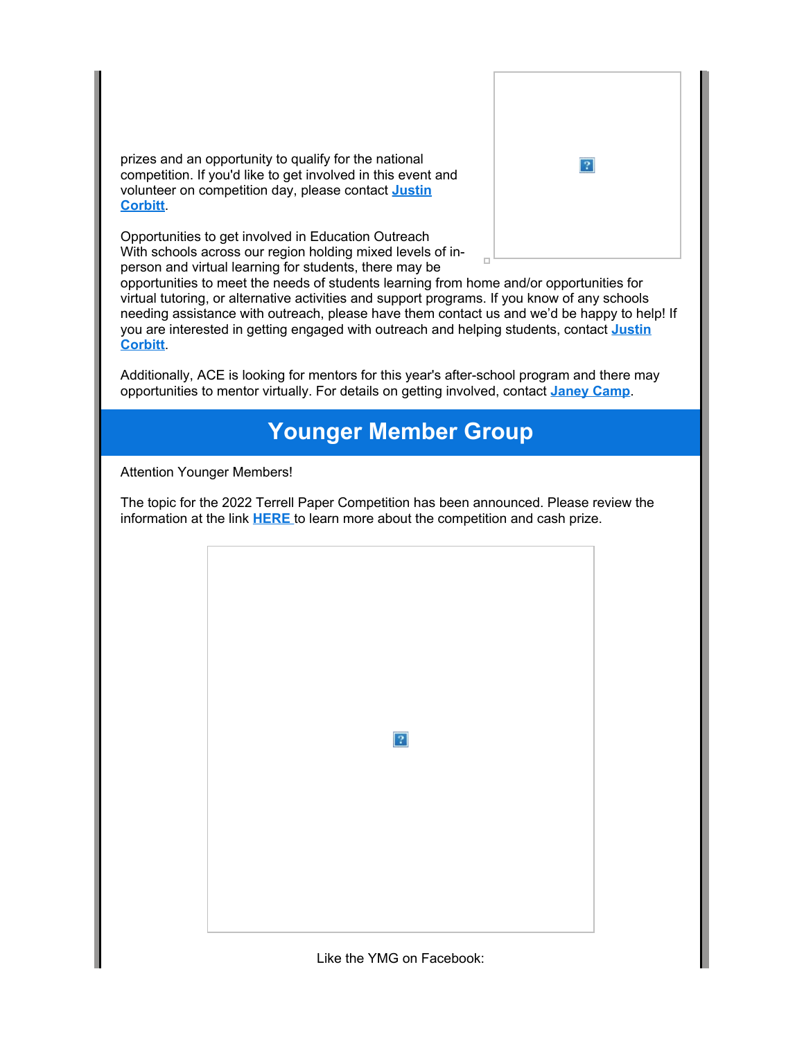prizes and an opportunity to qualify for the national competition. If you'd like to get involved in this event and volunteer on competition day, please contact **[Justin](mailto:jcorbitt@nashvilleasce.org) [Corbitt](mailto:jcorbitt@nashvilleasce.org)**.

Opportunities to get involved in Education Outreach With schools across our region holding mixed levels of inperson and virtual learning for students, there may be



opportunities to meet the needs of students learning from home and/or opportunities for virtual tutoring, or alternative activities and support programs. If you know of any schools needing assistance with outreach, please have them contact us and we'd be happy to help! If you are interested in getting engaged with outreach and helping students, contact **[Justin](mailto:jcorbitt@nashvilleasce.org) [Corbitt](mailto:jcorbitt@nashvilleasce.org)**.

Additionally, ACE is looking for mentors for this year's after-school program and there may opportunities to mentor virtually. For details on getting involved, contact **[Janey Camp](mailto:jcamp@nashvilleasce.org)**.

# **Younger Member Group**

Attention Younger Members!

The topic for the 2022 Terrell Paper Competition has been announced. Please review the information at the link **[HERE](https://urldefense.com/v3/__https://r20.rs6.net/tn.jsp?f=0010xkUrenoGelQsYBce--BOdWiRTVWixrub92kp_74b-7Qb-qPb4z5EQs4LEfAmtM5YmQj_rrU_5Bh9IDqtPlx4P-nmteNNt5pQphX-lBkVkdSMZWQ4cFkGknjqZpJ4QsFCutHPZdMy_sooN6yarAPCOwXazkMdvkmuOzSfxULTeUDuOA4YuY2RFHzDB4nzTw4MUxFaLMwc_yhFRaaPEia6zrTfAE_amu78fJTiY9y7CQ=&c=q2W5iv2STmJCT9uNUuREkOiod56YO9frC_MiSwxnJwFzR9j3ia8Gbg==&ch=-BxWCp3NxR-rt_PVXzwuzAktlbNHam6b6m_43R83FX7U8Jgh0W6OEA==__;!!OZ2Q16syoZo!sIqeW6Bqx16AYWZU7eNbwfc44wFadhaROKSSLXFC7WHTAaYzK1kM2YIPTLfwaa0$)** to learn more about the competition and cash prize.

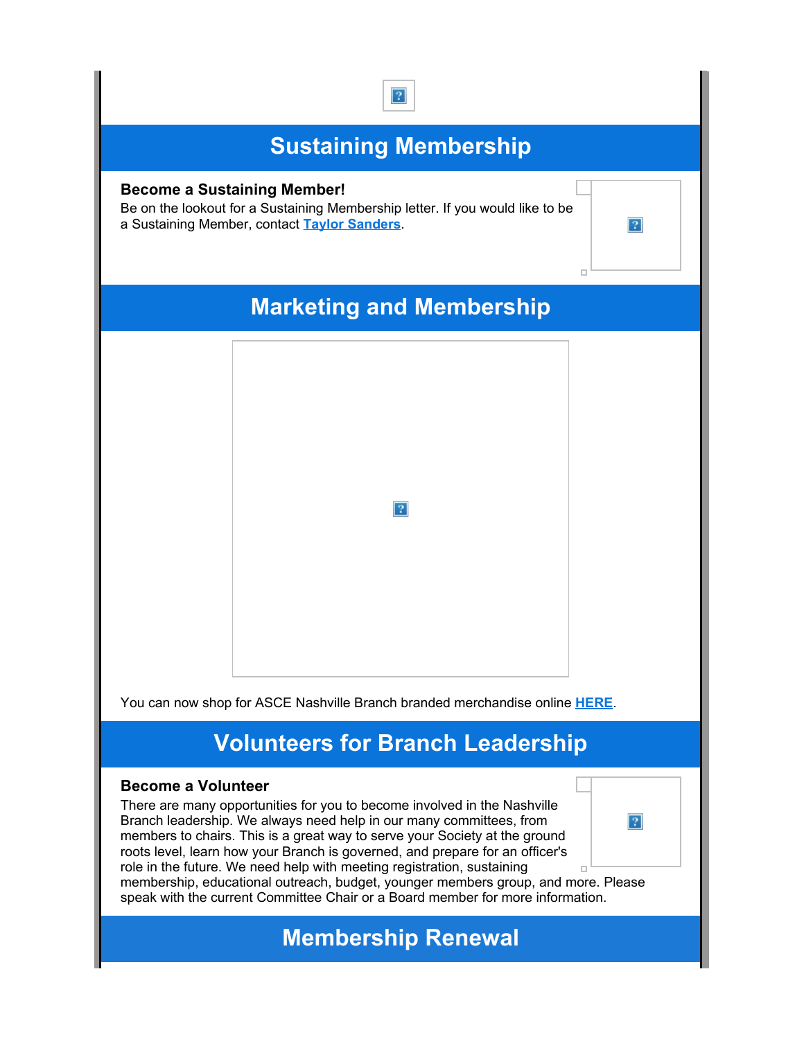# **Sustaining Membership**

 $\overline{?}$ 

### **Become a Sustaining Member!**

Be on the lookout for a Sustaining Membership letter. If you would like to be a Sustaining Member, contact **[Taylor Sanders](mailto:tsanders@nashvilleasce.org)**.

# **Marketing and Membership**

 $\vert$ ?

 $\Box$ 

You can now shop for ASCE Nashville Branch branded merchandise online **[HERE](https://urldefense.com/v3/__https://r20.rs6.net/tn.jsp?f=0010xkUrenoGelQsYBce--BOdWiRTVWixrub92kp_74b-7Qb-qPb4z5EWLsmCGu7y5v8YfYSL0AgxMcks8CJWae5UwRSLIDGUdPyy_GANf-UVPa7ZQ4dXRFrte0RtQtnwmk1fOSJSaYZ0cGfqjwgFIemRVWHh1QqxsaNEdKB6HgYumFqj9LLjR6dQ==&c=q2W5iv2STmJCT9uNUuREkOiod56YO9frC_MiSwxnJwFzR9j3ia8Gbg==&ch=-BxWCp3NxR-rt_PVXzwuzAktlbNHam6b6m_43R83FX7U8Jgh0W6OEA==__;!!OZ2Q16syoZo!sIqeW6Bqx16AYWZU7eNbwfc44wFadhaROKSSLXFC7WHTAaYzK1kM2YIPr-UIJGo$)**.

# **Volunteers for Branch Leadership**

#### **Become a Volunteer**

There are many opportunities for you to become involved in the Nashville Branch leadership. We always need help in our many committees, from  $|2|$ members to chairs. This is a great way to serve your Society at the ground roots level, learn how your Branch is governed, and prepare for an officer's role in the future. We need help with meeting registration, sustaining  $\Box$ membership, educational outreach, budget, younger members group, and more. Please speak with the current Committee Chair or a Board member for more information.

### **Membership Renewal**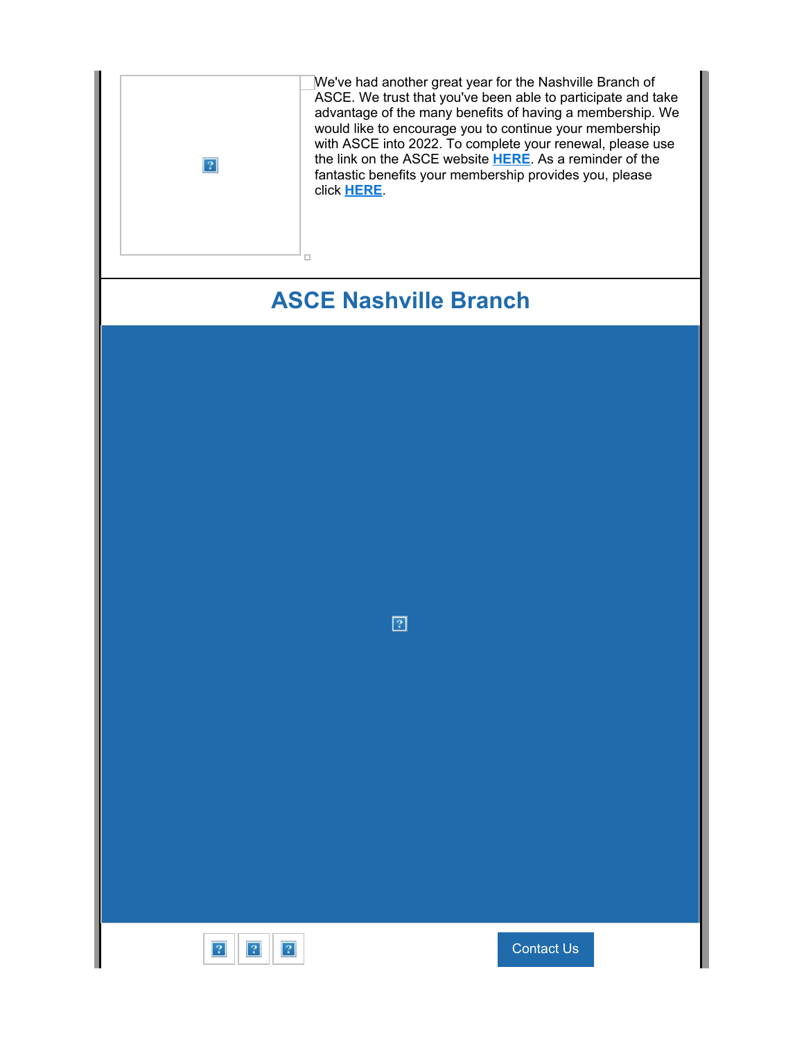